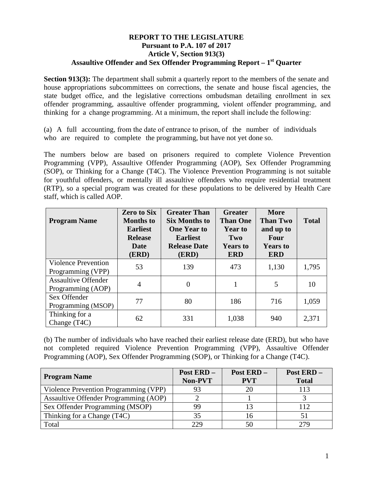## **REPORT TO THE LEGISLATURE Pursuant to P.A. 107 of 2017 Article V, Section 913(3) Assaultive Offender and Sex Offender Programming Report – 1st Quarter**

**Section 913(3):** The department shall submit a quarterly report to the members of the senate and house appropriations subcommittees on corrections, the senate and house fiscal agencies, the state budget office, and the legislative corrections ombudsman detailing enrollment in sex offender programming, assaultive offender programming, violent offender programming, and thinking for a change programming. At a minimum, the report shall include the following:

(a) A full accounting, from the date of entrance to prison, of the number of individuals who are required to complete the programming, but have not yet done so.

The numbers below are based on prisoners required to complete Violence Prevention Programming (VPP), Assaultive Offender Programming (AOP), Sex Offender Programming (SOP), or Thinking for a Change (T4C). The Violence Prevention Programming is not suitable for youthful offenders, or mentally ill assaultive offenders who require residential treatment (RTP), so a special program was created for these populations to be delivered by Health Care staff, which is called AOP.

| <b>Program Name</b>                             | <b>Zero to Six</b><br><b>Months</b> to<br><b>Earliest</b><br><b>Release</b><br>Date<br>(ERD) | <b>Greater Than</b><br><b>Six Months to</b><br><b>One Year to</b><br><b>Earliest</b><br><b>Release Date</b><br>(ERD) | <b>Greater</b><br><b>Than One</b><br><b>Year to</b><br>Two<br><b>Years to</b><br><b>ERD</b> | <b>More</b><br><b>Than Two</b><br>and up to<br>Four<br><b>Years to</b><br><b>ERD</b> | <b>Total</b> |
|-------------------------------------------------|----------------------------------------------------------------------------------------------|----------------------------------------------------------------------------------------------------------------------|---------------------------------------------------------------------------------------------|--------------------------------------------------------------------------------------|--------------|
| <b>Violence Prevention</b><br>Programming (VPP) | 53                                                                                           | 139                                                                                                                  | 473                                                                                         | 1,130                                                                                | 1,795        |
| <b>Assaultive Offender</b><br>Programming (AOP) | $\overline{4}$                                                                               | $\Omega$                                                                                                             | 1                                                                                           | 5                                                                                    | 10           |
| Sex Offender<br>Programming (MSOP)              | 77                                                                                           | 80                                                                                                                   | 186                                                                                         | 716                                                                                  | 1,059        |
| Thinking for a<br>Change (T <sub>4C</sub> )     | 62                                                                                           | 331                                                                                                                  | 1,038                                                                                       | 940                                                                                  | 2,371        |

(b) The number of individuals who have reached their earliest release date (ERD), but who have not completed required Violence Prevention Programming (VPP), Assaultive Offender Programming (AOP), Sex Offender Programming (SOP), or Thinking for a Change (T4C).

| <b>Program Name</b>                   | Post ERD -<br>Non-PVT | Post ERD-<br><b>PVT</b> | Post ERD-<br><b>Total</b> |
|---------------------------------------|-----------------------|-------------------------|---------------------------|
| Violence Prevention Programming (VPP) | 93                    |                         | 113                       |
| Assaultive Offender Programming (AOP) |                       |                         |                           |
| Sex Offender Programming (MSOP)       | 99                    |                         | 112                       |
| Thinking for a Change (T4C)           | 35                    |                         |                           |
| Total                                 | 229                   |                         | 279                       |